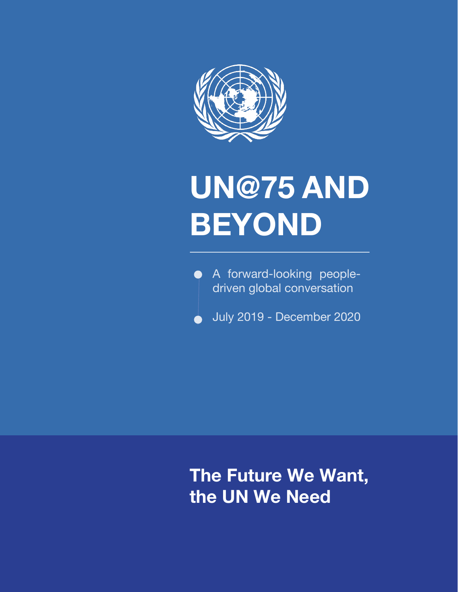

## **UN@75 AND BEYOND**

A forward-looking peopledriven global conversation

**July 2019 - December 2020** 

**The Future We Want, the UN We Need**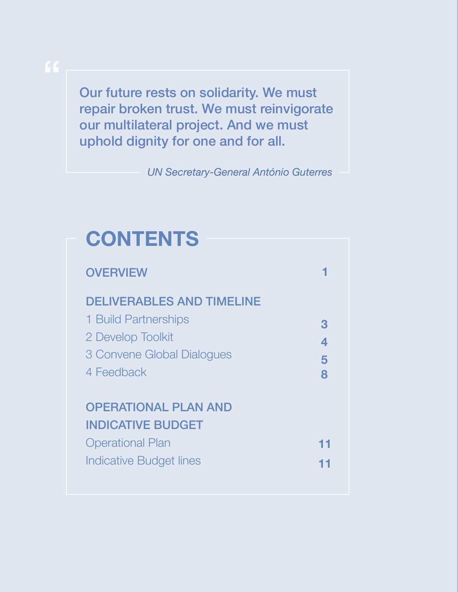Our future rests on solidarity. We must repair broken trust. We must reinvigorate our multilateral project. And we must uphold dignity for one and for all.

*UN Secretary-General António Guterres*

## **CONTENTS**

| <b>OVERVIEW</b>                  |    |
|----------------------------------|----|
| <b>DELIVERABLES AND TIMELINE</b> |    |
| 1 Build Partnerships             | 3  |
| 2 Develop Toolkit                | 4  |
| 3 Convene Global Dialogues       | 5  |
| 4 Feedback                       | 8  |
|                                  |    |
| <b>OPERATIONAL PLAN AND</b>      |    |
| <b>INDICATIVE BUDGET</b>         |    |
| <b>Operational Plan</b>          | 11 |
| <b>Indicative Budget lines</b>   | 11 |
|                                  |    |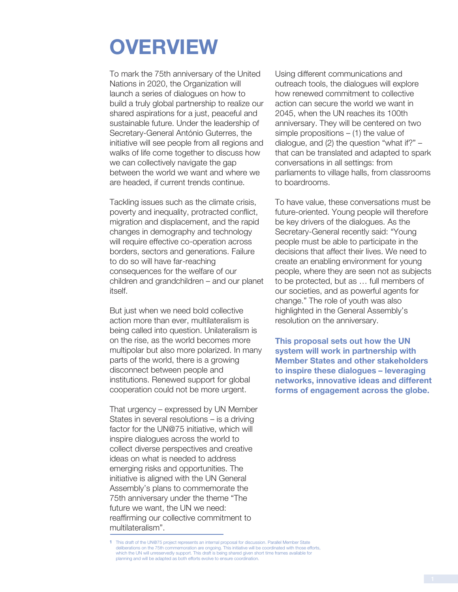## **OVERVIEW**

To mark the 75th anniversary of the United Nations in 2020, the Organization will launch a series of dialogues on how to build a truly global partnership to realize our shared aspirations for a just, peaceful and sustainable future. Under the leadership of Secretary-General António Guterres, the initiative will see people from all regions and walks of life come together to discuss how we can collectively navigate the gap between the world we want and where we are headed, if current trends continue.

Tackling issues such as the climate crisis, poverty and inequality, protracted conflict, migration and displacement, and the rapid changes in demography and technology will require effective co-operation across borders, sectors and generations. Failure to do so will have far-reaching consequences for the welfare of our children and grandchildren – and our planet itself.

But just when we need bold collective action more than ever, multilateralism is being called into question. Unilateralism is on the rise, as the world becomes more multipolar but also more polarized. In many parts of the world, there is a growing disconnect between people and institutions. Renewed support for global cooperation could not be more urgent.

That urgency – expressed by UN Member States in several resolutions – is a driving factor for the UN@75 initiative, which will inspire dialogues across the world to collect diverse perspectives and creative ideas on what is needed to address emerging risks and opportunities. The initiative is aligned with the UN General Assembly's plans to commemorate the 75th anniversary under the theme "The future we want, the UN we need: reaffirming our collective commitment to multilateralism".

Using different communications and outreach tools, the dialogues will explore how renewed commitment to collective action can secure the world we want in 2045, when the UN reaches its 100th anniversary. They will be centered on two simple propositions  $-$  (1) the value of dialogue, and (2) the question "what if?" – that can be translated and adapted to spark conversations in all settings: from parliaments to village halls, from classrooms to boardrooms.

To have value, these conversations must be future-oriented. Young people will therefore be key drivers of the dialogues. As the Secretary-General recently said: "Young people must be able to participate in the decisions that affect their lives. We need to create an enabling environment for young people, where they are seen not as subjects to be protected, but as … full members of our societies, and as powerful agents for change." The role of youth was also highlighted in the General Assembly's resolution on the anniversary.

**This proposal sets out how the UN system will work in partnership with Member States and other stakeholders to inspire these dialogues – leveraging networks, innovative ideas and different forms of engagement across the globe.**

<sup>1</sup> This draft of the UN@75 project represents an internal proposal for discussion. Parallel Member State deliberations on the 75th commemoration are ongoing. This initiative will be coordinated with those efforts, which the UN will unreservedly support. This draft is being shared given short time frames available for planning and will be adapted as both efforts evolve to ensure coordination.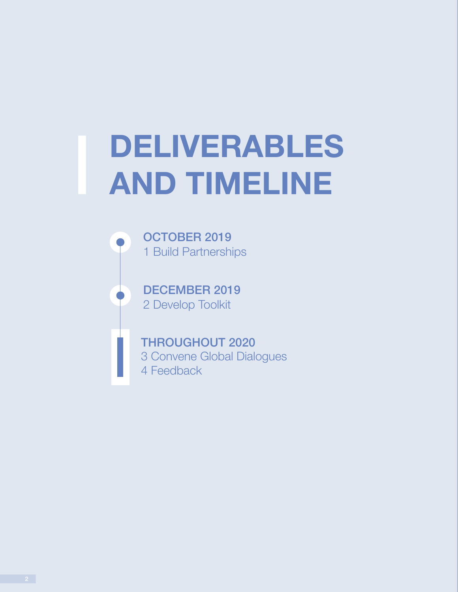# **DELIVERABLES<br>AND TIMELINE**

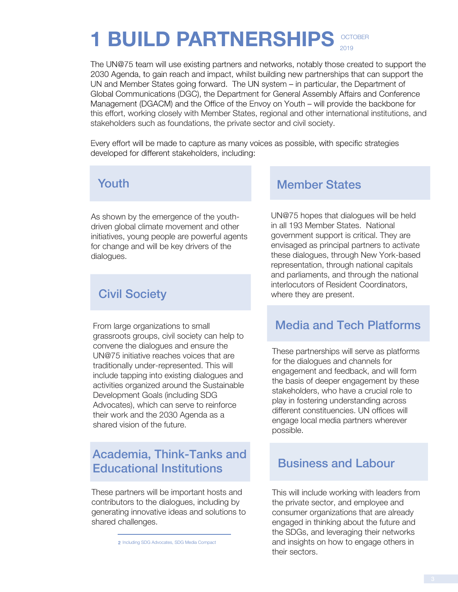#### **OCTOBER** 2019 **1 BUILD PARTNERSHIPS**

The UN@75 team will use existing partners and networks, notably those created to support the 2030 Agenda, to gain reach and impact, whilst building new partnerships that can support the UN and Member States going forward. The UN system – in particular, the Department of Global Communications (DGC), the Department for General Assembly Affairs and Conference Management (DGACM) and the Office of the Envoy on Youth – will provide the backbone for this effort, working closely with Member States, regional and other international institutions, and stakeholders such as foundations, the private sector and civil society.

Every effort will be made to capture as many voices as possible, with specific strategies developed for different stakeholders, including:

#### Youth

As shown by the emergence of the youthdriven global climate movement and other initiatives, young people are powerful agents for change and will be key drivers of the dialogues.

#### Civil Society

From large organizations to small grassroots groups, civil society can help to convene the dialogues and ensure the UN@75 initiative reaches voices that are traditionally under-represented. This will include tapping into existing dialogues and activities organized around the Sustainable Development Goals (including SDG Advocates), which can serve to reinforce their work and the 2030 Agenda as a shared vision of the future.

#### Academia, Think-Tanks and Educational Institutions

These partners will be important hosts and contributors to the dialogues, including by generating innovative ideas and solutions to shared challenges.

#### Member States

UN@75 hopes that dialogues will be held in all 193 Member States. National government support is critical. They are envisaged as principal partners to activate these dialogues, through New York-based representation, through national capitals and parliaments, and through the national interlocutors of Resident Coordinators, where they are present.

#### Media and Tech Platforms

These partnerships will serve as platforms for the dialogues and channels for engagement and feedback, and will form the basis of deeper engagement by these stakeholders, who have a crucial role to play in fostering understanding across different constituencies. UN offices will engage local media partners wherever possible.

#### Business and Labour

This will include working with leaders from the private sector, and employee and consumer organizations that are already engaged in thinking about the future and the SDGs, and leveraging their networks and insights on how to engage others in their sectors.

<sup>2</sup> Including SDG Advocates, SDG Media Compact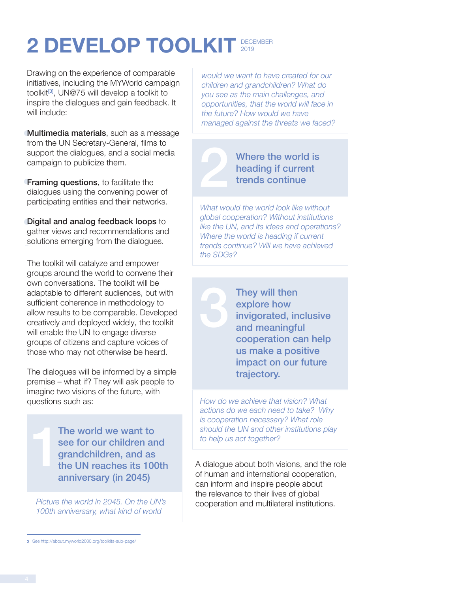#### **2 DEVELOP TOOLKIT 2019** 2019

Drawing on the experience of comparable initiatives, including the MYWorld campaign toolkit<sup>[3]</sup>, UN@75 will develop a toolkit to inspire the dialogues and gain feedback. It will include:

**Multimedia materials**, such as a message from the UN Secretary-General, films to support the dialogues, and a social media campaign to publicize them.

**Framing questions**, to facilitate the dialogues using the convening power of participating entities and their networks.

Digital and analog feedback loops to gather views and recommendations and solutions emerging from the dialogues.

The toolkit will catalyze and empower groups around the world to convene their own conversations. The toolkit will be adaptable to different audiences, but with sufficient coherence in methodology to allow results to be comparable. Developed creatively and deployed widely, the toolkit will enable the UN to engage diverse groups of citizens and capture voices of those who may not otherwise be heard.

The dialogues will be informed by a simple premise – what if? They will ask people to imagine two visions of the future, with questions such as:

The world we want to see for our children and grandchildren, and as the UN reaches its 100th anniversary (in 2045) |<br>|<br>|<br>|<br>|<br>|

*100th anniversary, what kind of world* 

*would we want to have created for our children and grandchildren? What do you see as the main challenges, and opportunities, that the world will face in the future? How would we have managed against the threats we faced?* 

#### Where the world is heading if current trends continue

2

*What would the world look like without global cooperation? Without institutions like the UN, and its ideas and operations? Where the world is heading if current trends continue? Will we have achieved the SDGs?* 

> They will then explore how invigorated, inclusive and meaningful cooperation can help us make a positive impact on our future trajectory.

*How do we achieve that vision? What actions do we each need to take? Why is cooperation necessary? What role should the UN and other institutions play to help us act together?* 

A dialogue about both visions, and the role of human and international cooperation, can inform and inspire people about the relevance to their lives of global Picture the world in 2045. On the UN's cooperation and multilateral institutions.

<sup>3</sup> See http://about.myworld2030.org/toolkits-sub-page/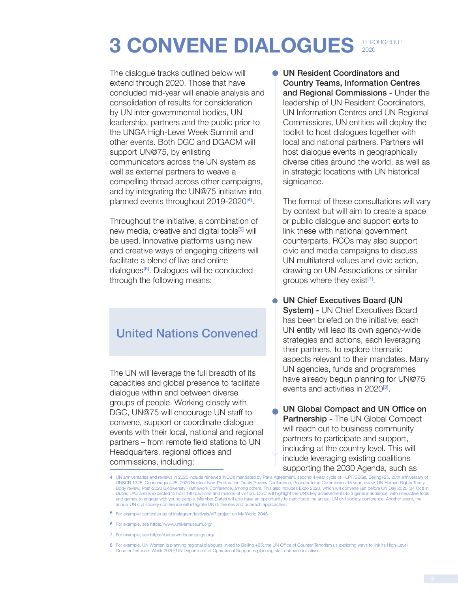## **3 CONVENE DIALOGUES** 2020

The dialogue tracks outlined below will extend through 2020. Those that have concluded mid-year will enable analysis and consolidation of results for consideration by UN inter-governmental bodies, UN leadership, partners and the public prior to the UNGA High-Level Week Summit and other events. Both DGC and DGACM will support UN@75, by enlisting communicators across the UN system as well as external partners to weave a compelling thread across other campaigns, and by integrating the UN@75 initiative into planned events throughout 2019-2020[4] .

Throughout the initiative, a combination of new media, creative and digital tools<sup>[5]</sup> will be used. Innovative platforms using new and creative ways of engaging citizens will facilitate a blend of live and online dialogues<sup>[6]</sup>. Dialogues will be conducted through the following means:

#### United Nations Convened

The UN will leverage the full breadth of its capacities and global presence to facilitate dialogue within and between diverse groups of people. Working closely with DGC, UN@75 will encourage UN staff to convene, support or coordinate dialogue events with their local, national and regional partners – from remote field stations to UN Headquarters, regional offices and commissions, including:

UN Resident Coordinators and Country Teams, Information Centres and Regional Commissions - Under the leadership of UN Resident Coordinators, UN Information Centres and UN Regional Commissions, UN entities will deploy the toolkit to host dialogues together with local and national partners. Partners will host dialogue events in geographically diverse cities around the world, as well as in strategic locations with UN historical signicance.

The format of these consultations will vary by context but will aim to create a space or public dialogue and support eorts to link these with national government counterparts. RCOs may also support civic and media campaigns to discuss UN multilateral values and civic action, drawing on UN Associations or similar groups where they exist<sup>[7]</sup>.

UN Chief Executives Board (UN System) - UN Chief Executives Board has been briefed on the initiative; each UN entity will lead its own agency-wide strategies and actions, each leveraging their partners, to explore thematic aspects relevant to their mandates. Many UN agencies, funds and programmes have already begun planning for UN@75 events and activities in 2020<sup>[8]</sup>.

UN Global Compact and UN Office on Partnership - The UN Global Compact will reach out to business community partners to participate and support, including at the country level. This will include leveraging existing coalitions supporting the 2030 Agenda, such as

- 5 For example: contests/use of Instagram/festivals/VR project on My World 2045
- 6 For example, see https://www.unlivemuseum.org/
- 7 For example, see https://betterworldcampaign.org/
- 8 For example, UN Women is planning regional dialogues linked to Beijing +25; the UN Office of Counter Terrorism us exploring ways to link its High-Level<br>Counter Terrorism Week 2020; UN Department of Operational Support is

<sup>4</sup> UN anniversaries and reviews in 2020 include renewed INDCs mandated by Paris Agreement, second 4-year cycle of HLPF/SDGs, Beijing+25, 20th anniversary of UNSCR 1325, Copenhagen+25, 2020 Nuclear Non-Proliferation Treaty Review Conference, Peacebuilding Commission 15 year review, UN Human Rights Treaty Body review, Post-2020 Biodiversity Framework Conference, among others. This also includes Expo 2020, which will convene just before UN Day 2020 (24 Oct) in<br>Dubai, UAE and is expected to host 190 pavilions and millions of and games to engage with young people. Member States will also have an opportunity to participate the annual UN civil society conference. Another event, the annual UN civil society conference will integrate UN75 themes and outreach approaches.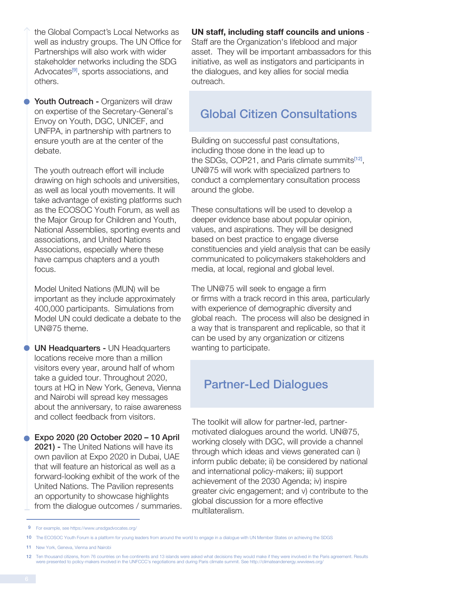the Global Compact's Local Networks as

Youth Outreach - Organizers will draw on expertise of the Secretary-General's Envoy on Youth, DGC, UNICEF, and UNFPA, in partnership with partners to ensure youth are at the center of the debate.

The youth outreach effort will include drawing on high schools and universities, as well as local youth movements. It will take advantage of existing platforms such as the ECOSOC Youth Forum, as well as the Major Group for Children and Youth, National Assemblies, sporting events and associations, and United Nations Associations, especially where these have campus chapters and a youth focus.

Model United Nations (MUN) will be important as they include approximately 400,000 participants. Simulations from Model UN could dedicate a debate to the UN@75 theme.

UN Headquarters - UN Headquarters locations receive more than a million visitors every year, around half of whom take a guided tour. Throughout 2020, tours at HQ in New York, Geneva, Vienna and Nairobi will spread key messages about the anniversary, to raise awareness and collect feedback from visitors.

**Expo 2020 (20 October 2020 – 10 April** 2021) - The United Nations will have its own pavilion at Expo 2020 in Dubai, UAE that will feature an historical as well as a forward-looking exhibit of the work of the United Nations. The Pavilion represents an opportunity to showcase highlights from the dialogue outcomes / summaries. **UN staff, including staff councils and unions** -

Staff are the Organization's lifeblood and major asset. They will be important ambassadors for this initiative, as well as instigators and participants in the dialogues, and key allies for social media outreach.

#### Global Citizen Consultations

Building on successful past consultations, including those done in the lead up to the SDGs, COP21, and Paris climate summits<sup>[12]</sup>, UN@75 will work with specialized partners to conduct a complementary consultation process around the globe.

These consultations will be used to develop a deeper evidence base about popular opinion, values, and aspirations. They will be designed based on best practice to engage diverse constituencies and yield analysis that can be easily communicated to policymakers stakeholders and media, at local, regional and global level.

The UN@75 will seek to engage a firm or firms with a track record in this area, particularly with experience of demographic diversity and global reach. The process will also be designed in a way that is transparent and replicable, so that it can be used by any organization or citizens wanting to participate.

#### Partner-Led Dialogues

The toolkit will allow for partner-led, partnermotivated dialogues around the world. UN@75, working closely with DGC, will provide a channel through which ideas and views generated can i) inform public debate; ii) be considered by national and international policy-makers; iii) support achievement of the 2030 Agenda; iv) inspire greater civic engagement; and v) contribute to the global discussion for a more effective multilateralism.

well as industry groups. The UN Office for Partnerships will also work with wider stakeholder networks including the SDG Advocates<sup>[9]</sup>, sports associations, and others.

<sup>9</sup> For example, see https://www.unsdgadvocates.org/

<sup>10</sup> The ECOSOC Youth Forum is a platform for young leaders from around the world to engage in a dialogue with UN Member States on achieving the SDGS

<sup>11</sup> New York, Geneva, Vienna and Nairobi

<sup>12</sup> Ten thousand citizens, from 76 countries on five continents and 13 islands were asked what decisions they would make if they were involved in the Paris agreement. Results<br>were presented to policy-makers involved in the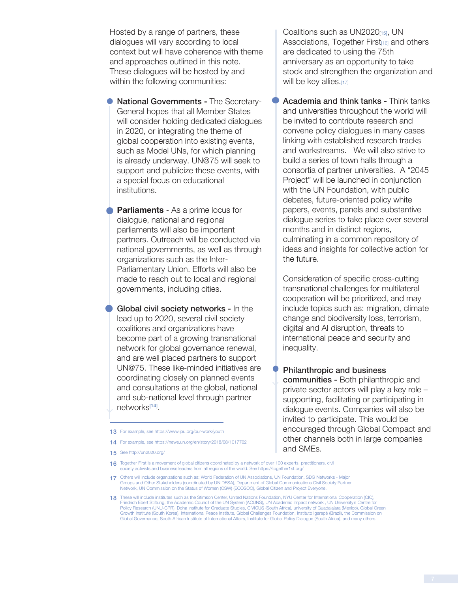Hosted by a range of partners, these dialogues will vary according to local context but will have coherence with theme and approaches outlined in this note. These dialogues will be hosted by and within the following communities:

**National Governments - The Secretary-**General hopes that all Member States will consider holding dedicated dialogues in 2020, or integrating the theme of global cooperation into existing events, such as Model UNs, for which planning is already underway. UN@75 will seek to support and publicize these events, with a special focus on educational institutions.

**Parliaments** - As a prime locus for dialogue, national and regional parliaments will also be important partners. Outreach will be conducted via national governments, as well as through organizations such as the Inter-Parliamentary Union. Efforts will also be made to reach out to local and regional governments, including cities.

Global civil society networks - In the lead up to 2020, several civil society coalitions and organizations have become part of a growing transnational network for global governance renewal, and are well placed partners to support UN@75. These like-minded initiatives are coordinating closely on planned events and consultations at the global, national and sub-national level through partner networks<sup>[14]</sup>.

Coalitions such as UN2020[15], UN Associations, Together First<sub>[16]</sub> and others are dedicated to using the 75th anniversary as an opportunity to take stock and strengthen the organization and will be key allies.[17]

Academia and think tanks - Think tanks and universities throughout the world will be invited to contribute research and convene policy dialogues in many cases linking with established research tracks and workstreams. We will also strive to build a series of town halls through a consortia of partner universities. A "2045 Project" will be launched in conjunction with the UN Foundation, with public debates, future-oriented policy white papers, events, panels and substantive dialogue series to take place over several months and in distinct regions, culminating in a common repository of ideas and insights for collective action for the future.

Consideration of specific cross-cutting transnational challenges for multilateral cooperation will be prioritized, and may include topics such as: migration, climate change and biodiversity loss, terrorism, digital and AI disruption, threats to international peace and security and inequality.

Philanthropic and business

communities - Both philanthropic and private sector actors will play a key role – supporting, facilitating or participating in dialogue events. Companies will also be invited to participate. This would be encouraged through Global Compact and other channels both in large companies and SMEs.

<sup>13</sup> For example, see https://www.ipu.org/our-work/youth

<sup>14</sup> For example, see https://news.un.org/en/story/2018/08/1017702

<sup>15</sup> See http://un2020.org/

**<sup>16</sup>** Together First is a movement of global citizens coordinated by a network of over 100 experts, practitioners, civil society activists and business leaders from all regions of the world. See https://together1st.org/

<sup>17</sup> Others will include organizations such as: World Federation of UN Associations, UN Foundation, SDG Networks - Major Groups and Other Stakeholders (coordinated by UN DESA), Department of Global Communications Civil Society Partner Network, UN Commission on the Status of Women (CSW) (ECOSOC), Global Citizen and Project Everyone.

<sup>18</sup> These will include institutes such as the Stimson Center, United Nations Foundation, NYU Center for International Cooperation (CIC), Friedrich Ebert Stiftung, the Academic Council of the UN System (ACUNS), UN Academic Impact network , UN University's Centre for Policy Research (UNU-CPR), Doha Institute for Graduate Studies, CIVICUS (South Africa), university of Guadalajara (Mexico), Global Green Growth Institute (South Korea), International Peace Institute, Global Challenges Foundation, Instituto Igarapé (Brazil), the Commission on Global Governance, South African Institute of International Affairs, Institute for Global Policy Dialogue (South Africa), and many others.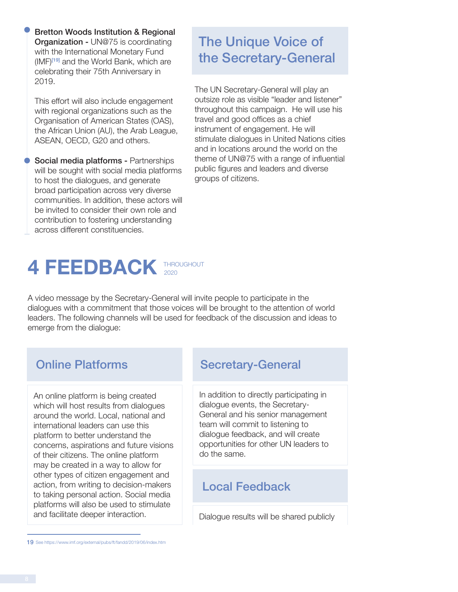Bretton Woods Institution & Regional **Organization - UN@75 is coordinating** with the International Monetary Fund (IMF)<sup>[19]</sup> and the World Bank, which are celebrating their 75th Anniversary in 2019.

This effort will also include engagement with regional organizations such as the Organisation of American States (OAS), the African Union (AU), the Arab League, ASEAN, OECD, G20 and others.

Social media platforms - Partnerships will be sought with social media platforms to host the dialogues, and generate broad participation across very diverse communities. In addition, these actors will be invited to consider their own role and contribution to fostering understanding across different constituencies.

#### **4 FEEDBACK** THROUGHOUT 2020

A video message by the Secretary-General will invite people to participate in the dialogues with a commitment that those voices will be brought to the attention of world leaders. The following channels will be used for feedback of the discussion and ideas to emerge from the dialogue:

An online platform is being created which will host results from dialogues around the world. Local, national and international leaders can use this platform to better understand the concerns, aspirations and future visions of their citizens. The online platform may be created in a way to allow for other types of citizen engagement and action, from writing to decision-makers to taking personal action. Social media platforms will also be used to stimulate and facilitate deeper interaction.

#### **Online Platforms Secretary-General**

In addition to directly participating in dialogue events, the Secretary-General and his senior management team will commit to listening to dialogue feedback, and will create opportunities for other UN leaders to do the same.

#### Local Feedback

Dialogue results will be shared publicly

### The Unique Voice of the Secretary-General

The UN Secretary-General will play an outsize role as visible "leader and listener" throughout this campaign. He will use his travel and good offices as a chief instrument of engagement. He will stimulate dialogues in United Nations cities and in locations around the world on the theme of UN@75 with a range of influential public figures and leaders and diverse groups of citizens.

<sup>19</sup> See https://www.imf.org/external/pubs/ft/fandd/2019/06/index.htm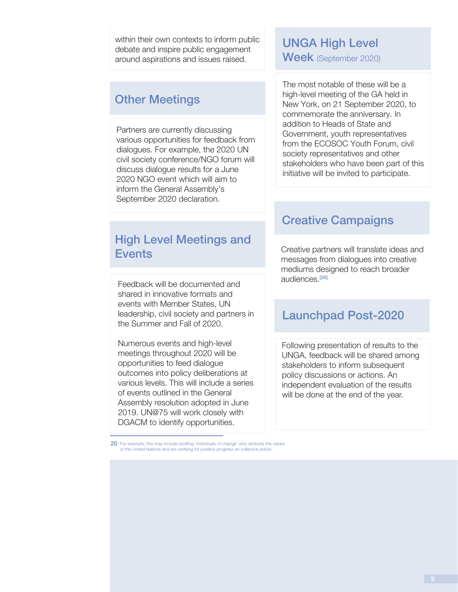within their own contexts to inform public debate and inspire public engagement around aspirations and issues raised.

#### Other Meetings

Partners are currently discussing various opportunities for feedback from dialogues. For example, the 2020 UN civil society conference/NGO forum will discuss dialogue results for a June 2020 NGO event which will aim to inform the General Assembly's September 2020 declaration.

#### High Level Meetings and **Events**

Feedback will be documented and shared in innovative formats and events with Member States, UN leadership, civil society and partners in the Summer and Fall of 2020.

Numerous events and high-level meetings throughout 2020 will be opportunities to feed dialogue outcomes into policy deliberations at various levels. This will include a series of events outlined in the General Assembly resolution adopted in June 2019. UN@75 will work closely with DGACM to identify opportunities.

20 For example, this may include profiling 'individuals of change' who embody the values of the United Nations and are working for positive progress on collective action.

#### UNGA High Level Week (September 2020)

The most notable of these will be a high-level meeting of the GA held in New York, on 21 September 2020, to commemorate the anniversary. In addition to Heads of State and Government, youth representatives from the ECOSOC Youth Forum, civil society representatives and other stakeholders who have been part of this initiative will be invited to participate.

#### Creative Campaigns

Creative partners will translate ideas and messages from dialogues into creative mediums designed to reach broader audiences.[20]

#### Launchpad Post-2020

Following presentation of results to the UNGA, feedback will be shared among stakeholders to inform subsequent policy discussions or actions. An independent evaluation of the results will be done at the end of the year.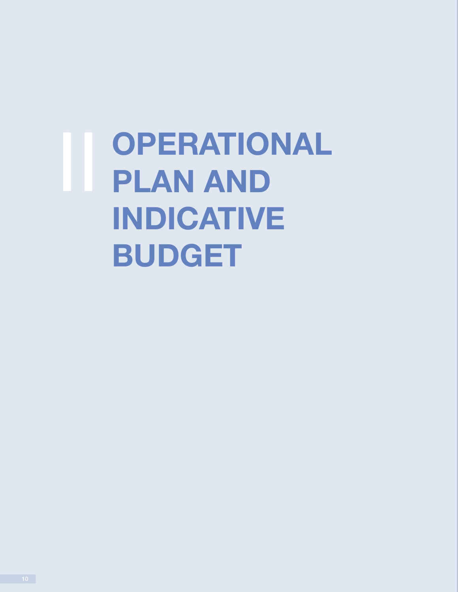**OPERATIONAL PLAN AND INDICATIVE BUDGET**